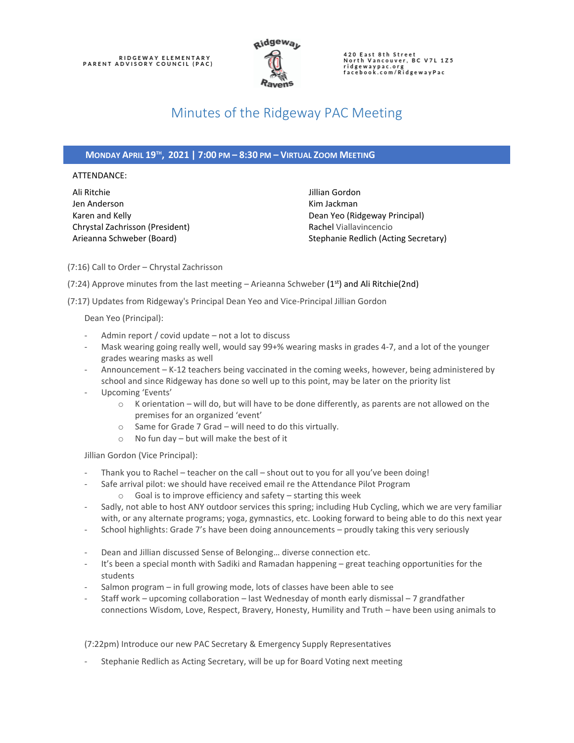

420 East 8th Street<br>North Vancouver, BC V7L 1Z5 ridgewaypac.org<br>facebook.com/RidgewayPac

# Minutes of the Ridgeway PAC Meeting

### **MONDAY APRIL 19TH , 2021 | 7:00 PM – 8:30 PM – VIRTUAL ZOOM MEETING**

#### ATTENDANCE:

Ali Ritchie Jen Anderson Karen and Kelly Chrystal Zachrisson (President) Arieanna Schweber (Board)

Jillian Gordon Kim Jackman Dean Yeo (Ridgeway Principal) Rachel Viallavincencio Stephanie Redlich (Acting Secretary)

(7:16) Call to Order – Chrystal Zachrisson

(7:24) Approve minutes from the last meeting – Arieanna Schweber ( $1^{st}$ ) and Ali Ritchie(2nd)

(7:17) Updates from Ridgeway's Principal Dean Yeo and Vice-Principal Jillian Gordon

Dean Yeo (Principal):

- Admin report / covid update not a lot to discuss
- Mask wearing going really well, would say 99+% wearing masks in grades 4-7, and a lot of the younger grades wearing masks as well
- Announcement K-12 teachers being vaccinated in the coming weeks, however, being administered by school and since Ridgeway has done so well up to this point, may be later on the priority list
- Upcoming 'Events'
	- o K orientation will do, but will have to be done differently, as parents are not allowed on the premises for an organized 'event'
	- o Same for Grade 7 Grad will need to do this virtually.
	- o No fun day but will make the best of it

Jillian Gordon (Vice Principal):

- Thank you to Rachel teacher on the call shout out to you for all you've been doing!
- Safe arrival pilot: we should have received email re the Attendance Pilot Program o Goal is to improve efficiency and safety – starting this week
- Sadly, not able to host ANY outdoor services this spring; including Hub Cycling, which we are very familiar with, or any alternate programs; yoga, gymnastics, etc. Looking forward to being able to do this next year
- School highlights: Grade 7's have been doing announcements proudly taking this very seriously
- Dean and Jillian discussed Sense of Belonging... diverse connection etc.
- It's been a special month with Sadiki and Ramadan happening great teaching opportunities for the students
- Salmon program in full growing mode, lots of classes have been able to see
- Staff work upcoming collaboration last Wednesday of month early dismissal 7 grandfather connections Wisdom, Love, Respect, Bravery, Honesty, Humility and Truth – have been using animals to

(7:22pm) Introduce our new PAC Secretary & Emergency Supply Representatives

Stephanie Redlich as Acting Secretary, will be up for Board Voting next meeting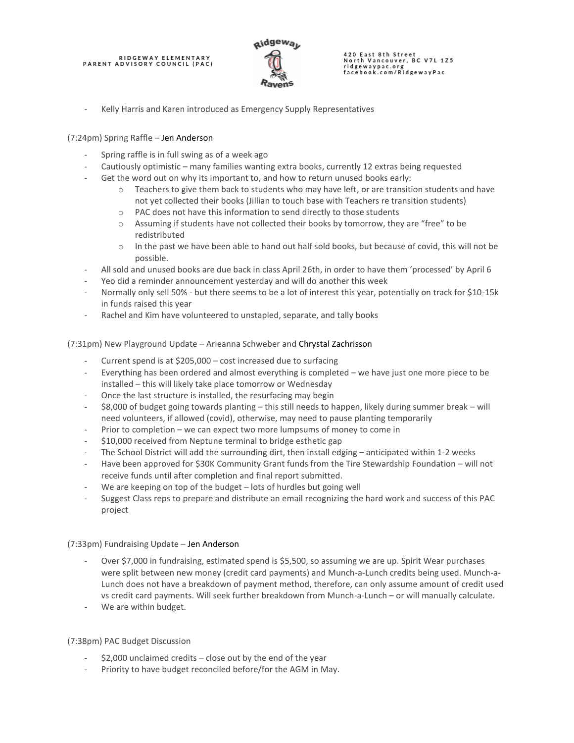# RIDGEWAY ELEMENTARY<br>PARENT ADVISORY COUNCIL (PAC)



420 East 8th Street<br>North Vancouver, BC V7L 1Z5 ridgewaypac.org<br>facebook.com/RidgewayPac

Kelly Harris and Karen introduced as Emergency Supply Representatives

### (7:24pm) Spring Raffle – Jen Anderson

- Spring raffle is in full swing as of a week ago
- Cautiously optimistic many families wanting extra books, currently 12 extras being requested
- Get the word out on why its important to, and how to return unused books early:
	- $\circ$  Teachers to give them back to students who may have left, or are transition students and have not yet collected their books (Jillian to touch base with Teachers re transition students)
	- o PAC does not have this information to send directly to those students
	- o Assuming if students have not collected their books by tomorrow, they are "free" to be redistributed
	- o In the past we have been able to hand out half sold books, but because of covid, this will not be possible.
- All sold and unused books are due back in class April 26th, in order to have them 'processed' by April 6
- Yeo did a reminder announcement yesterday and will do another this week
- Normally only sell 50% but there seems to be a lot of interest this year, potentially on track for \$10-15k in funds raised this year
- Rachel and Kim have volunteered to unstapled, separate, and tally books

### (7:31pm) New Playground Update – Arieanna Schweber and Chrystal Zachrisson

- Current spend is at  $$205,000 cost$  increased due to surfacing
- Everything has been ordered and almost everything is completed we have just one more piece to be installed – this will likely take place tomorrow or Wednesday
- Once the last structure is installed, the resurfacing may begin
- \$8,000 of budget going towards planting this still needs to happen, likely during summer break will need volunteers, if allowed (covid), otherwise, may need to pause planting temporarily
- Prior to completion we can expect two more lumpsums of money to come in
- \$10,000 received from Neptune terminal to bridge esthetic gap
- The School District will add the surrounding dirt, then install edging anticipated within 1-2 weeks
- Have been approved for \$30K Community Grant funds from the Tire Stewardship Foundation will not receive funds until after completion and final report submitted.
- We are keeping on top of the budget lots of hurdles but going well
- Suggest Class reps to prepare and distribute an email recognizing the hard work and success of this PAC project

### (7:33pm) Fundraising Update – Jen Anderson

- Over \$7,000 in fundraising, estimated spend is \$5,500, so assuming we are up. Spirit Wear purchases were split between new money (credit card payments) and Munch-a-Lunch credits being used. Munch-a-Lunch does not have a breakdown of payment method, therefore, can only assume amount of credit used vs credit card payments. Will seek further breakdown from Munch-a-Lunch – or will manually calculate.
- We are within budget.

#### (7:38pm) PAC Budget Discussion

- $$2,000$  unclaimed credits close out by the end of the year
- Priority to have budget reconciled before/for the AGM in May.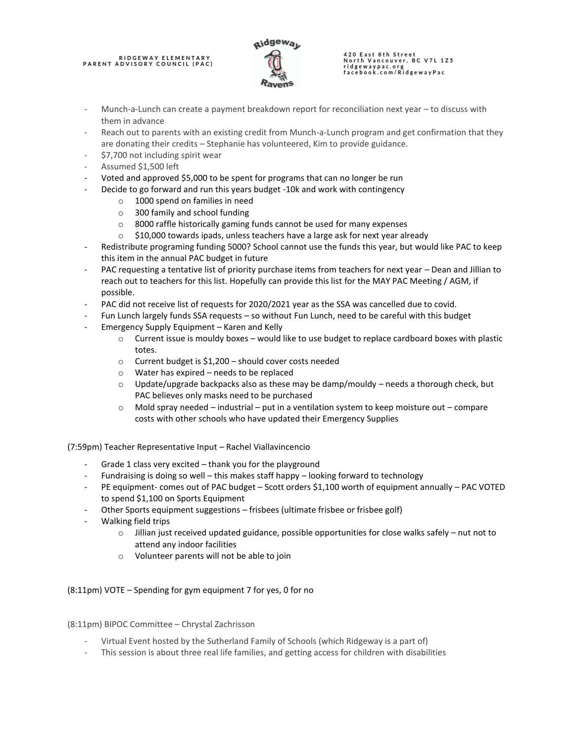# RIDGEWAY ELEMENTARY<br>PARENT ADVISORY COUNCIL (PAC)



# 420 East 8th Street<br>North Vancouver, BC V7L 1Z5 ridgewaypac.org<br>facebook.com/RidgewayPac

- Munch-a-Lunch can create a payment breakdown report for reconciliation next year to discuss with them in advance
- Reach out to parents with an existing credit from Munch-a-Lunch program and get confirmation that they are donating their credits – Stephanie has volunteered, Kim to provide guidance.
- \$7,700 not including spirit wear
- Assumed \$1,500 left
- Voted and approved \$5,000 to be spent for programs that can no longer be run
- Decide to go forward and run this years budget -10k and work with contingency
	- o 1000 spend on families in need
	- o 300 family and school funding
	- o 8000 raffle historically gaming funds cannot be used for many expenses
	- $\circ$  \$10,000 towards ipads, unless teachers have a large ask for next year already
- Redistribute programing funding 5000? School cannot use the funds this year, but would like PAC to keep this item in the annual PAC budget in future
- PAC requesting a tentative list of priority purchase items from teachers for next year Dean and Jillian to reach out to teachers for this list. Hopefully can provide this list for the MAY PAC Meeting / AGM, if possible.
- PAC did not receive list of requests for 2020/2021 year as the SSA was cancelled due to covid.
- Fun Lunch largely funds SSA requests so without Fun Lunch, need to be careful with this budget
- Emergency Supply Equipment Karen and Kelly
	- $\circ$  Current issue is mouldy boxes would like to use budget to replace cardboard boxes with plastic totes.
	- o Current budget is \$1,200 should cover costs needed
	- o Water has expired needs to be replaced
	- $\circ$  Update/upgrade backpacks also as these may be damp/mouldy needs a thorough check, but PAC believes only masks need to be purchased
	- $\circ$  Mold spray needed industrial put in a ventilation system to keep moisture out compare costs with other schools who have updated their Emergency Supplies

(7:59pm) Teacher Representative Input – Rachel Viallavincencio

- Grade 1 class very excited thank you for the playground
- Fundraising is doing so well this makes staff happy looking forward to technology
- PE equipment- comes out of PAC budget Scott orders \$1,100 worth of equipment annually PAC VOTED to spend \$1,100 on Sports Equipment
- Other Sports equipment suggestions frisbees (ultimate frisbee or frisbee golf)
- Walking field trips
	- $\circ$  Jillian just received updated guidance, possible opportunities for close walks safely nut not to attend any indoor facilities
	- o Volunteer parents will not be able to join

(8:11pm) VOTE – Spending for gym equipment 7 for yes, 0 for no

(8:11pm) BIPOC Committee – Chrystal Zachrisson

- Virtual Event hosted by the Sutherland Family of Schools (which Ridgeway is a part of)
- This session is about three real life families, and getting access for children with disabilities